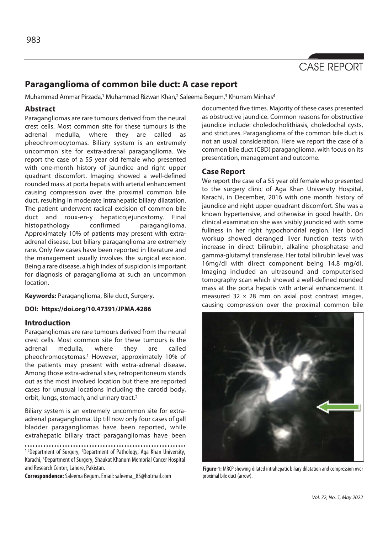

# **Paraganglioma of common bile duct: A case report**

Muhammad Ammar Pirzada,<sup>1</sup> Muhammad Rizwan Khan,<sup>2</sup> Saleema Begum,<sup>3</sup> Khurram Minhas<sup>4</sup>

## **Abstract**

Paragangliomas are rare tumours derived from the neural crest cells. Most common site for these tumours is the adrenal medulla, where they are called as pheochromocytomas. Biliary system is an extremely uncommon site for extra-adrenal paraganglioma. We report the case of a 55 year old female who presented with one-month history of jaundice and right upper quadrant discomfort. Imaging showed a well-defined rounded mass at porta hepatis with arterial enhancement causing compression over the proximal common bile duct, resulting in moderate intrahepatic biliary dilatation. The patient underwent radical excision of common bile duct and roux-en-y hepaticojejunostomy. Final histopathology confirmed paraganglioma. Approximately 10% of patients may present with extraadrenal disease, but biliary paraganglioma are extremely rare. Only few cases have been reported in literature and the management usually involves the surgical excision. Being a rare disease, a high index of suspicion is important for diagnosis of paraganglioma at such an uncommon location.

**Keywords:** Paraganglioma, Bile duct, Surgery.

### **DOI: https://doi.org/10.47391/JPMA.4286**

## **Introduction**

Paragangliomas are rare tumours derived from the neural crest cells. Most common site for these tumours is the adrenal medulla, where they are called pheochromocytomas.<sup>1</sup> However, approximately 10% of the patients may present with extra-adrenal disease. Among those extra-adrenal sites, retroperitoneum stands out as the most involved location but there are reported cases for unusual locations including the carotid body, orbit, lungs, stomach, and urinary tract.2

Biliary system is an extremely uncommon site for extraadrenal paraganglioma. Up till now only four cases of gall bladder paragangliomas have been reported, while extrahepatic biliary tract paragangliomas have been

1,2Department of Surgery, <sup>4</sup>Department of Pathology, Aga Khan University, Karachi, 3Department of Surgery, Shaukat Khanum Memorial Cancer Hospital and Research Center, Lahore, Pakistan.

**Correspondence:** Saleema Begum. Email: saleema\_85@hotmail.com

documented five times. Majority of these cases presented as obstructive jaundice. Common reasons for obstructive jaundice include: choledocholithiasis, choledochal cysts, and strictures. Paraganglioma of the common bile duct is not an usual consideration. Here we report the case of a common bile duct (CBD) paraganglioma, with focus on its presentation, management and outcome.

# **Case Report**

We report the case of a 55 year old female who presented to the surgery clinic of Aga Khan University Hospital, Karachi, in December, 2016 with one month history of jaundice and right upper quadrant discomfort. She was a known hypertensive, and otherwise in good health. On clinical examination she was visibly jaundiced with some fullness in her right hypochondrial region. Her blood workup showed deranged liver function tests with increase in direct bilirubin, alkaline phosphatase and gamma-glutamyl transferase. Her total bilirubin level was 16mg/dl with direct component being 14.8 mg/dl. Imaging included an ultrasound and computerised tomography scan which showed a well-defined rounded mass at the porta hepatis with arterial enhancement. It measured 32 x 28 mm on axial post contrast images, causing compression over the proximal common bile



**Figure-1:** MRCP showing dilated intrahepatic biliary dilatation and compression over proximal bile duct (arrow).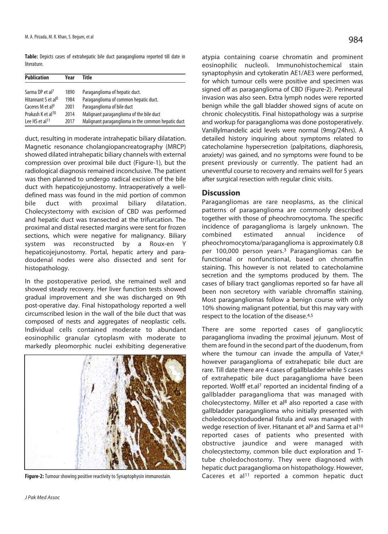**Table:** Depicts cases of extrahepatic bile duct paraganglioma reported till date in literature.

| <b>Publication</b>             | Year | Title                                              |
|--------------------------------|------|----------------------------------------------------|
|                                |      |                                                    |
| Sarma DP et al <sup>7</sup>    | 1890 | Paraganglioma of hepatic duct.                     |
| Hitannant S et al <sup>8</sup> | 1984 | Paraganglioma of common hepatic duct.              |
| Caceres M et al <sup>9</sup>   | 2001 | Paraganglioma of bile duct                         |
| Prakash K et al <sup>10</sup>  | 2014 | Malignant paraganglioma of the bile duct           |
| Lee HS et al <sup>11</sup>     | 2017 | Malignant paraganglioma in the common hepatic duct |

duct, resulting in moderate intrahepatic biliary dilatation. Magnetic resonance cholangiopancreatography (MRCP) showed dilated intrahepatic biliary channels with external compression over proximal bile duct (Figure-1), but the radiological diagnosis remained inconclusive. The patient was then planned to undergo radical excision of the bile duct with hepaticojejunostomy. Intraoperatively a welldefined mass was found in the mid portion of common bile duct with proximal biliary dilatation. Cholecystectomy with excision of CBD was performed and hepatic duct was transected at the trifurcation. The proximal and distal resected margins were sent for frozen sections, which were negative for malignancy. Biliary system was reconstructed by a Roux-en Y hepaticojejunostomy. Portal, hepatic artery and paradoudenal nodes were also dissected and sent for histopathology.

In the postoperative period, she remained well and showed steady recovery. Her liver function tests showed gradual improvement and she was discharged on 9th post-operative day. Final histopathology reported a well circumscribed lesion in the wall of the bile duct that was composed of nests and aggregates of neoplastic cells. Individual cells contained moderate to abundant eosinophilic granular cytoplasm with moderate to markedly pleomorphic nuclei exhibiting degenerative



**Figure-2:** Tumour showing positive reactivity to Synaptophysin immunostain.

atypia containing coarse chromatin and prominent eosinophilic nucleoli. Immunohistochemical stain synaptophysin and cytokeratin AE1/AE3 were performed, for which tumour cells were positive and specimen was signed off as paraganglioma of CBD (Figure-2). Perineural invasion was also seen. Extra lymph nodes were reported benign while the gall bladder showed signs of acute on chronic cholecystitis. Final histopathology was a surprise and workup for paraganglioma was done postoperatively. Vanillylmandelic acid levels were normal (9mg/24hrs). A detailed history inquiring about symptoms related to catecholamine hypersecretion (palpitations, diaphoresis, anxiety) was gained, and no symptoms were found to be present previously or currently. The patient had an

## **Discussion**

Paragangliomas are rare neoplasms, as the clinical patterns of paraganglioma are commonly described together with those of pheochromocytoma. The specific incidence of paraganglioma is largely unknown. The combined estimated annual incidence of pheochromocytoma/paraganglioma is approximately 0.8 per 100,000 person years.3 Paragangliomas can be functional or nonfunctional, based on chromaffin staining. This however is not related to catecholamine secretion and the symptoms produced by them. The cases of biliary tract gangliomas reported so far have all been non secretory with variable chromaffin staining. Most paragangliomas follow a benign course with only 10% showing malignant potential, but this may vary with respect to the location of the disease.4,5

uneventful course to recovery and remains well for 5 years

after surgical resection with regular clinic visits.

There are some reported cases of gangliocytic paraganglioma invading the proximal jejunum. Most of them are found in the second part of the duodenum, from where the tumour can invade the ampulla of Vater,<sup>6</sup> however paraganglioma of extrahepatic bile duct are rare. Till date there are 4 cases of gallbladder while 5 cases of extrahepatic bile duct paraganglioma have been reported. Wolff et.al<sup>7</sup> reported an incidental finding of a gallbladder paraganglioma that was managed with cholecystectomy. Miller et al<sup>8</sup> also reported a case with gallbladder paraganglioma who initially presented with choledococystoduodenal fistula and was managed with wedge resection of liver. Hitanant et al<sup>9</sup> and Sarma et al<sup>10</sup> reported cases of patients who presented with obstructive jaundice and were managed with cholecystectomy, common bile duct exploration and Ttube choledochostomy. They were diagnosed with hepatic duct paraganglioma on histopathology. However, Caceres et al<sup>11</sup> reported a common hepatic duct